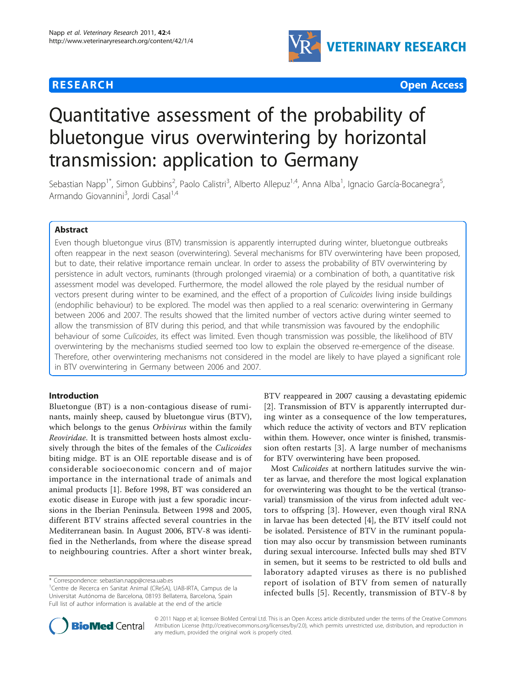

**RESEARCH CONTROL** CONTROL CONTROL CONTROL CONTROL CONTROL CONTROL CONTROL CONTROL CONTROL CONTROL CONTROL CONTROL

# Quantitative assessment of the probability of bluetongue virus overwintering by horizontal transmission: application to Germany

Sebastian Napp<sup>1\*</sup>, Simon Gubbins<sup>2</sup>, Paolo Calistri<sup>3</sup>, Alberto Allepuz<sup>1,4</sup>, Anna Alba<sup>1</sup>, Ignacio García-Bocanegra<sup>5</sup> , Armando Giovannini<sup>3</sup>, Jordi Casal<sup>1,4</sup>

#### Abstract

Even though bluetongue virus (BTV) transmission is apparently interrupted during winter, bluetongue outbreaks often reappear in the next season (overwintering). Several mechanisms for BTV overwintering have been proposed, but to date, their relative importance remain unclear. In order to assess the probability of BTV overwintering by persistence in adult vectors, ruminants (through prolonged viraemia) or a combination of both, a quantitative risk assessment model was developed. Furthermore, the model allowed the role played by the residual number of vectors present during winter to be examined, and the effect of a proportion of Culicoides living inside buildings (endophilic behaviour) to be explored. The model was then applied to a real scenario: overwintering in Germany between 2006 and 2007. The results showed that the limited number of vectors active during winter seemed to allow the transmission of BTV during this period, and that while transmission was favoured by the endophilic behaviour of some Culicoides, its effect was limited. Even though transmission was possible, the likelihood of BTV overwintering by the mechanisms studied seemed too low to explain the observed re-emergence of the disease. Therefore, other overwintering mechanisms not considered in the model are likely to have played a significant role in BTV overwintering in Germany between 2006 and 2007.

#### Introduction

Bluetongue (BT) is a non-contagious disease of ruminants, mainly sheep, caused by bluetongue virus (BTV), which belongs to the genus Orbivirus within the family Reoviridae. It is transmitted between hosts almost exclusively through the bites of the females of the Culicoides biting midge. BT is an OIE reportable disease and is of considerable socioeconomic concern and of major importance in the international trade of animals and animal products [\[1](#page-8-0)]. Before 1998, BT was considered an exotic disease in Europe with just a few sporadic incursions in the Iberian Peninsula. Between 1998 and 2005, different BTV strains affected several countries in the Mediterranean basin. In August 2006, BTV-8 was identified in the Netherlands, from where the disease spread to neighbouring countries. After a short winter break,

BTV reappeared in 2007 causing a devastating epidemic [[2\]](#page-8-0). Transmission of BTV is apparently interrupted during winter as a consequence of the low temperatures, which reduce the activity of vectors and BTV replication within them. However, once winter is finished, transmission often restarts [\[3](#page-8-0)]. A large number of mechanisms for BTV overwintering have been proposed.

Most Culicoides at northern latitudes survive the winter as larvae, and therefore the most logical explanation for overwintering was thought to be the vertical (transovarial) transmission of the virus from infected adult vectors to offspring [\[3\]](#page-8-0). However, even though viral RNA in larvae has been detected [[4\]](#page-8-0), the BTV itself could not be isolated. Persistence of BTV in the ruminant population may also occur by transmission between ruminants during sexual intercourse. Infected bulls may shed BTV in semen, but it seems to be restricted to old bulls and laboratory adapted viruses as there is no published report of isolation of BTV from semen of naturally infected bulls [[5\]](#page-8-0). Recently, transmission of BTV-8 by



© 2011 Napp et al; licensee BioMed Central Ltd. This is an Open Access article distributed under the terms of the Creative Commons Attribution License [\(http://creativecommons.org/licenses/by/2.0](http://creativecommons.org/licenses/by/2.0)), which permits unrestricted use, distribution, and reproduction in any medium, provided the original work is properly cited.

<sup>\*</sup> Correspondence: [sebastian.napp@cresa.uab.es](mailto:sebastian.napp@cresa.uab.es)

<sup>&</sup>lt;sup>1</sup>Centre de Recerca en Sanitat Animal (CReSA), UAB-IRTA, Campus de la Universitat Autónoma de Barcelona, 08193 Bellaterra, Barcelona, Spain Full list of author information is available at the end of the article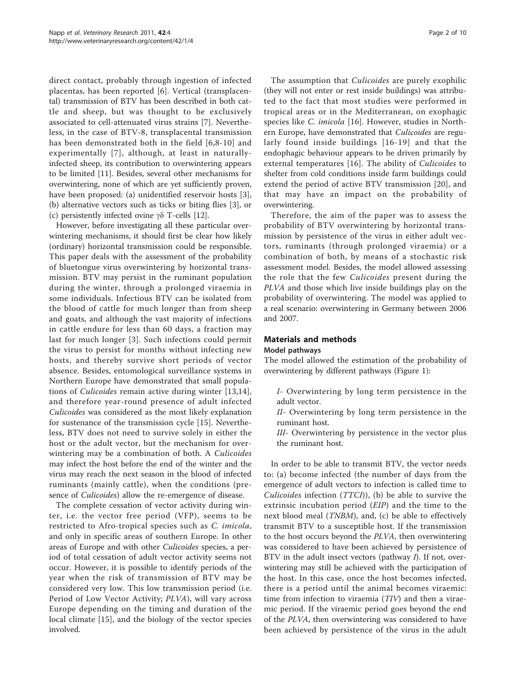direct contact, probably through ingestion of infected placentas, has been reported [[6\]](#page-9-0). Vertical (transplacental) transmission of BTV has been described in both cattle and sheep, but was thought to be exclusively associated to cell-attenuated virus strains [[7](#page-9-0)]. Nevertheless, in the case of BTV-8, transplacental transmission has been demonstrated both in the field [[6,8-10\]](#page-9-0) and experimentally [[7](#page-9-0)], although, at least in naturallyinfected sheep, its contribution to overwintering appears to be limited [[11\]](#page-9-0). Besides, several other mechanisms for overwintering, none of which are yet sufficiently proven, have been proposed: (a) unidentified reservoir hosts [\[3](#page-8-0)], (b) alternative vectors such as ticks or biting flies [\[3](#page-8-0)], or (c) persistently infected ovine  $\gamma\delta$  T-cells [[12](#page-9-0)].

However, before investigating all these particular overwintering mechanisms, it should first be clear how likely (ordinary) horizontal transmission could be responsible. This paper deals with the assessment of the probability of bluetongue virus overwintering by horizontal transmission. BTV may persist in the ruminant population during the winter, through a prolonged viraemia in some individuals. Infectious BTV can be isolated from the blood of cattle for much longer than from sheep and goats, and although the vast majority of infections in cattle endure for less than 60 days, a fraction may last for much longer [[3\]](#page-8-0). Such infections could permit the virus to persist for months without infecting new hosts, and thereby survive short periods of vector absence. Besides, entomological surveillance systems in Northern Europe have demonstrated that small populations of Culicoides remain active during winter [[13,14](#page-9-0)], and therefore year-round presence of adult infected Culicoides was considered as the most likely explanation for sustenance of the transmission cycle [[15\]](#page-9-0). Nevertheless, BTV does not need to survive solely in either the host or the adult vector, but the mechanism for overwintering may be a combination of both. A Culicoides may infect the host before the end of the winter and the virus may reach the next season in the blood of infected ruminants (mainly cattle), when the conditions (presence of Culicoides) allow the re-emergence of disease.

The complete cessation of vector activity during winter, i.e. the vector free period (VFP), seems to be restricted to Afro-tropical species such as C. imicola, and only in specific areas of southern Europe. In other areas of Europe and with other Culicoides species, a period of total cessation of adult vector activity seems not occur. However, it is possible to identify periods of the year when the risk of transmission of BTV may be considered very low. This low transmission period (i.e. Period of Low Vector Activity; PLVA), will vary across Europe depending on the timing and duration of the local climate [[15](#page-9-0)], and the biology of the vector species involved.

The assumption that *Culicoides* are purely exophilic (they will not enter or rest inside buildings) was attributed to the fact that most studies were performed in tropical areas or in the Mediterranean, on exophagic species like C. imicola [[16\]](#page-9-0). However, studies in Northern Europe, have demonstrated that Culicoides are regularly found inside buildings [[16-19](#page-9-0)] and that the endophagic behaviour appears to be driven primarily by external temperatures [[16](#page-9-0)]. The ability of *Culicoides* to shelter from cold conditions inside farm buildings could extend the period of active BTV transmission [\[20](#page-9-0)], and that may have an impact on the probability of overwintering.

Therefore, the aim of the paper was to assess the probability of BTV overwintering by horizontal transmission by persistence of the virus in either adult vectors, ruminants (through prolonged viraemia) or a combination of both, by means of a stochastic risk assessment model. Besides, the model allowed assessing the role that the few Culicoides present during the PLVA and those which live inside buildings play on the probability of overwintering. The model was applied to a real scenario: overwintering in Germany between 2006 and 2007.

## Materials and methods

### Model pathways

The model allowed the estimation of the probability of overwintering by different pathways (Figure [1\)](#page-2-0):

- I- Overwintering by long term persistence in the adult vector.
- II- Overwintering by long term persistence in the ruminant host.
- III- Overwintering by persistence in the vector plus the ruminant host.

In order to be able to transmit BTV, the vector needs to: (a) become infected (the number of days from the emergence of adult vectors to infection is called time to Culicoides infection (TTCI)), (b) be able to survive the extrinsic incubation period (EIP) and the time to the next blood meal (TNBM), and, (c) be able to effectively transmit BTV to a susceptible host. If the transmission to the host occurs beyond the PLVA, then overwintering was considered to have been achieved by persistence of BTV in the adult insect vectors (pathway  $I$ ). If not, overwintering may still be achieved with the participation of the host. In this case, once the host becomes infected, there is a period until the animal becomes viraemic: time from infection to viraemia  $(TIV)$  and then a viraemic period. If the viraemic period goes beyond the end of the PLVA, then overwintering was considered to have been achieved by persistence of the virus in the adult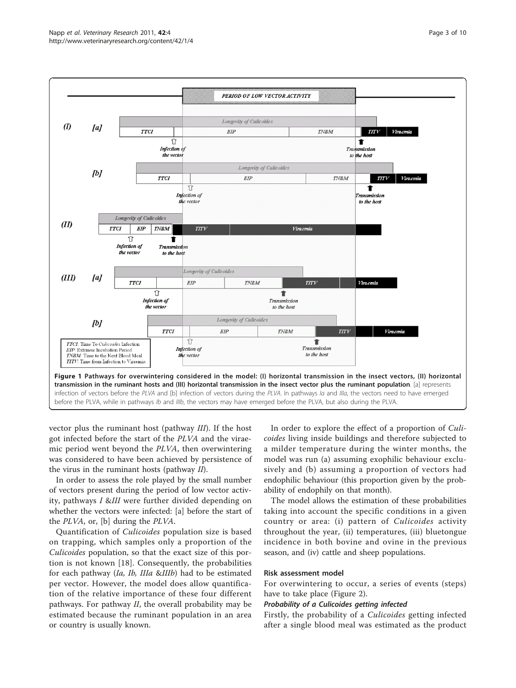<span id="page-2-0"></span>

vector plus the ruminant host (pathway III). If the host got infected before the start of the PLVA and the viraemic period went beyond the PLVA, then overwintering was considered to have been achieved by persistence of the virus in the ruminant hosts (pathway II).

In order to assess the role played by the small number of vectors present during the period of low vector activity, pathways I &III were further divided depending on whether the vectors were infected: [a] before the start of the PLVA, or, [b] during the PLVA.

Quantification of Culicoides population size is based on trapping, which samples only a proportion of the Culicoides population, so that the exact size of this portion is not known [[18\]](#page-9-0). Consequently, the probabilities for each pathway (Ia, Ib, IIIa &IIIb) had to be estimated per vector. However, the model does allow quantification of the relative importance of these four different pathways. For pathway  $II$ , the overall probability may be estimated because the ruminant population in an area or country is usually known.

In order to explore the effect of a proportion of Culicoides living inside buildings and therefore subjected to a milder temperature during the winter months, the model was run (a) assuming exophilic behaviour exclusively and (b) assuming a proportion of vectors had endophilic behaviour (this proportion given by the probability of endophily on that month).

The model allows the estimation of these probabilities taking into account the specific conditions in a given country or area: (i) pattern of Culicoides activity throughout the year, (ii) temperatures, (iii) bluetongue incidence in both bovine and ovine in the previous season, and (iv) cattle and sheep populations.

#### Risk assessment model

For overwintering to occur, a series of events (steps) have to take place (Figure [2](#page-3-0)).

#### Probability of a Culicoides getting infected

Firstly, the probability of a Culicoides getting infected after a single blood meal was estimated as the product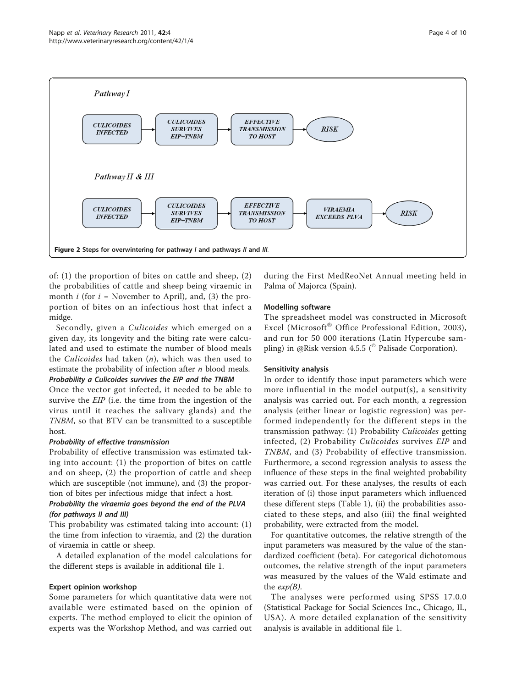<span id="page-3-0"></span>

of: (1) the proportion of bites on cattle and sheep, (2) the probabilities of cattle and sheep being viraemic in month *i* (for  $i =$  November to April), and, (3) the proportion of bites on an infectious host that infect a midge.

Secondly, given a Culicoides which emerged on a given day, its longevity and the biting rate were calculated and used to estimate the number of blood meals the Culicoides had taken  $(n)$ , which was then used to estimate the probability of infection after *n* blood meals. Probability a Culicoides survives the EIP and the TNBM

Once the vector got infected, it needed to be able to survive the *EIP* (i.e. the time from the ingestion of the virus until it reaches the salivary glands) and the TNBM, so that BTV can be transmitted to a susceptible host.

#### Probability of effective transmission

Probability of effective transmission was estimated taking into account: (1) the proportion of bites on cattle and on sheep, (2) the proportion of cattle and sheep which are susceptible (not immune), and (3) the proportion of bites per infectious midge that infect a host.

#### Probability the viraemia goes beyond the end of the PLVA (for pathways II and III)

This probability was estimated taking into account: (1) the time from infection to viraemia, and (2) the duration of viraemia in cattle or sheep.

A detailed explanation of the model calculations for the different steps is available in additional file [1.](#page-8-0)

#### Expert opinion workshop

Some parameters for which quantitative data were not available were estimated based on the opinion of experts. The method employed to elicit the opinion of experts was the Workshop Method, and was carried out

during the First MedReoNet Annual meeting held in Palma of Majorca (Spain).

#### Modelling software

The spreadsheet model was constructed in Microsoft Excel (Microsoft® Office Professional Edition, 2003), and run for 50 000 iterations (Latin Hypercube sampling) in @Risk version 4.5.5 ( $^{\circ}$  Palisade Corporation).

#### Sensitivity analysis

In order to identify those input parameters which were more influential in the model output(s), a sensitivity analysis was carried out. For each month, a regression analysis (either linear or logistic regression) was performed independently for the different steps in the transmission pathway: (1) Probability Culicoides getting infected, (2) Probability Culicoides survives EIP and TNBM, and (3) Probability of effective transmission. Furthermore, a second regression analysis to assess the influence of these steps in the final weighted probability was carried out. For these analyses, the results of each iteration of (i) those input parameters which influenced these different steps (Table [1\)](#page-4-0), (ii) the probabilities associated to these steps, and also (iii) the final weighted probability, were extracted from the model.

For quantitative outcomes, the relative strength of the input parameters was measured by the value of the standardized coefficient (beta). For categorical dichotomous outcomes, the relative strength of the input parameters was measured by the values of the Wald estimate and the  $exp(B)$ .

The analyses were performed using SPSS 17.0.0 (Statistical Package for Social Sciences Inc., Chicago, IL, USA). A more detailed explanation of the sensitivity analysis is available in additional file [1.](#page-8-0)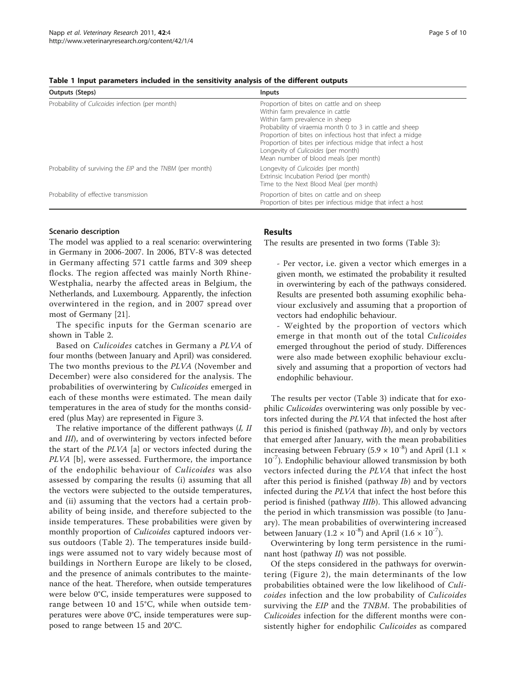<span id="page-4-0"></span>Table 1 Input parameters included in the sensitivity analysis of the different outputs

| Outputs (Steps)                                           | <b>Inputs</b>                                                                                                                                                                                                                                                                                                                                                                               |
|-----------------------------------------------------------|---------------------------------------------------------------------------------------------------------------------------------------------------------------------------------------------------------------------------------------------------------------------------------------------------------------------------------------------------------------------------------------------|
| Probability of Culicoides infection (per month)           | Proportion of bites on cattle and on sheep<br>Within farm prevalence in cattle<br>Within farm prevalence in sheep<br>Probability of viraemia month 0 to 3 in cattle and sheep<br>Proportion of bites on infectious host that infect a midge<br>Proportion of bites per infectious midge that infect a host<br>Longevity of Culicoides (per month)<br>Mean number of blood meals (per month) |
| Probability of surviving the EIP and the TNBM (per month) | Longevity of Culicoides (per month)<br>Extrinsic Incubation Period (per month)<br>Time to the Next Blood Meal (per month)                                                                                                                                                                                                                                                                   |
| Probability of effective transmission                     | Proportion of bites on cattle and on sheep<br>Proportion of bites per infectious midge that infect a host                                                                                                                                                                                                                                                                                   |

#### Scenario description

The model was applied to a real scenario: overwintering in Germany in 2006-2007. In 2006, BTV-8 was detected in Germany affecting 571 cattle farms and 309 sheep flocks. The region affected was mainly North Rhine-Westphalia, nearby the affected areas in Belgium, the Netherlands, and Luxembourg. Apparently, the infection overwintered in the region, and in 2007 spread over most of Germany [\[21\]](#page-9-0).

The specific inputs for the German scenario are shown in Table [2](#page-5-0).

Based on Culicoides catches in Germany a PLVA of four months (between January and April) was considered. The two months previous to the PLVA (November and December) were also considered for the analysis. The probabilities of overwintering by Culicoides emerged in each of these months were estimated. The mean daily temperatures in the area of study for the months considered (plus May) are represented in Figure [3.](#page-5-0)

The relative importance of the different pathways (I, II and III), and of overwintering by vectors infected before the start of the PLVA [a] or vectors infected during the PLVA [b], were assessed. Furthermore, the importance of the endophilic behaviour of Culicoides was also assessed by comparing the results (i) assuming that all the vectors were subjected to the outside temperatures, and (ii) assuming that the vectors had a certain probability of being inside, and therefore subjected to the inside temperatures. These probabilities were given by monthly proportion of Culicoides captured indoors versus outdoors (Table [2\)](#page-5-0). The temperatures inside buildings were assumed not to vary widely because most of buildings in Northern Europe are likely to be closed, and the presence of animals contributes to the maintenance of the heat. Therefore, when outside temperatures were below 0°C, inside temperatures were supposed to range between 10 and 15°C, while when outside temperatures were above 0°C, inside temperatures were supposed to range between 15 and 20°C.

#### Results

The results are presented in two forms (Table [3\)](#page-6-0):

- Per vector, i.e. given a vector which emerges in a given month, we estimated the probability it resulted in overwintering by each of the pathways considered. Results are presented both assuming exophilic behaviour exclusively and assuming that a proportion of vectors had endophilic behaviour.

- Weighted by the proportion of vectors which emerge in that month out of the total Culicoides emerged throughout the period of study. Differences were also made between exophilic behaviour exclusively and assuming that a proportion of vectors had endophilic behaviour.

The results per vector (Table [3](#page-6-0)) indicate that for exophilic Culicoides overwintering was only possible by vectors infected during the PLVA that infected the host after this period is finished (pathway  $Ib$ ), and only by vectors that emerged after January, with the mean probabilities increasing between February (5.9  $\times$  10<sup>-8</sup>) and April (1.1  $\times$  $10^{-7}$ ). Endophilic behaviour allowed transmission by both vectors infected during the PLVA that infect the host after this period is finished (pathway *Ib*) and by vectors infected during the PLVA that infect the host before this period is finished (pathway IIIb). This allowed advancing the period in which transmission was possible (to January). The mean probabilities of overwintering increased between January (1.2  $\times$  10<sup>-8</sup>) and April (1.6  $\times$  10<sup>-7</sup>).

Overwintering by long term persistence in the ruminant host (pathway  $II$ ) was not possible.

Of the steps considered in the pathways for overwintering (Figure [2](#page-3-0)), the main determinants of the low probabilities obtained were the low likelihood of Culicoides infection and the low probability of Culicoides surviving the EIP and the TNBM. The probabilities of Culicoides infection for the different months were consistently higher for endophilic Culicoides as compared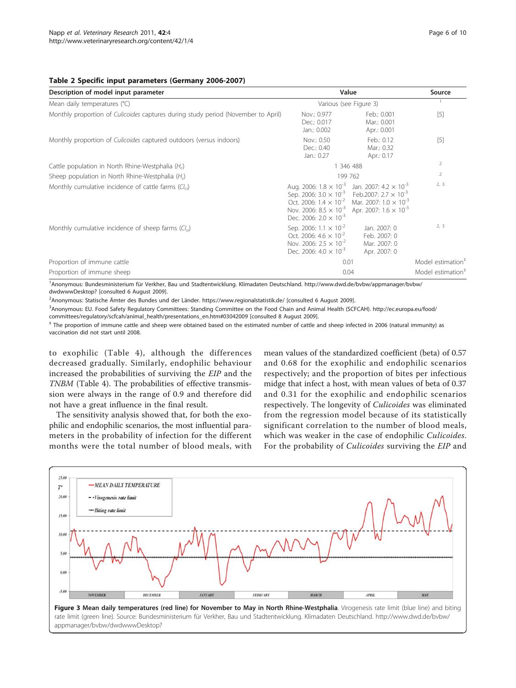<span id="page-5-0"></span>

|  |  |  | Table 2 Specific input parameters (Germany 2006-2007) |  |  |
|--|--|--|-------------------------------------------------------|--|--|
|--|--|--|-------------------------------------------------------|--|--|

| Description of model input parameter                                                     | Value                                                                                                                                                                                                                                                                                                                        | Source                                                       |                               |
|------------------------------------------------------------------------------------------|------------------------------------------------------------------------------------------------------------------------------------------------------------------------------------------------------------------------------------------------------------------------------------------------------------------------------|--------------------------------------------------------------|-------------------------------|
| Mean daily temperatures (°C)                                                             | Various (see Figure 3)                                                                                                                                                                                                                                                                                                       |                                                              |                               |
| Monthly proportion of <i>Culicoides</i> captures during study period (November to April) | Nov.: 0.977<br>Dec.: 0.017<br>Jan.: 0.002                                                                                                                                                                                                                                                                                    | Feb.: 0.001<br>Mar.: 0.001<br>Apr.: 0.001                    | $[5]$                         |
| Monthly proportion of Culicoides captured outdoors (versus indoors)                      | Nov.: 0.50<br>Dec.: 0.40<br>Jan.: 0.27                                                                                                                                                                                                                                                                                       | Feb.: 0.12<br>Mar.: 0.32<br>Apr.: 0.17                       | $[5]$                         |
| Cattle population in North Rhine-Westphalia $(Hc)$                                       | 1 346 488                                                                                                                                                                                                                                                                                                                    |                                                              | $\overline{2}$                |
| Sheep population in North Rhine-Westphalia (H <sub>2</sub> )                             | 199 762                                                                                                                                                                                                                                                                                                                      |                                                              | $\overline{2}$                |
| Monthly cumulative incidence of cattle farms $(Clci)$                                    | Aug. 2006: $1.8 \times 10^{-3}$ Jan. 2007: $4.2 \times 10^{-3}$<br>Sep. 2006: $3.0 \times 10^{-3}$ Feb.2007: $2.7 \times 10^{-3}$<br>Oct. 2006: $1.4 \times 10^{-2}$ Mar. 2007: $1.0 \times 10^{-3}$<br>Nov. 2006: 8.5 $\times$ 10 <sup>-3</sup> Apr. 2007: 1.6 $\times$ 10 <sup>-3</sup><br>Dec. 2006: $2.0 \times 10^{-3}$ |                                                              | 2, 3                          |
| Monthly cumulative incidence of sheep farms $(Cl_{si})$                                  | Sep. 2006: $1.1 \times 10^{-2}$<br>Oct. 2006: $4.6 \times 10^{-2}$<br>Nov. 2006: $2.5 \times 10^{-2}$<br>Dec. 2006: $4.0 \times 10^{-3}$                                                                                                                                                                                     | Jan. 2007: 0<br>Feb. 2007: 0<br>Mar. 2007: 0<br>Apr. 2007: 0 | 2, 3                          |
| Proportion of immune cattle                                                              | 0.01                                                                                                                                                                                                                                                                                                                         |                                                              | Model estimation <sup>+</sup> |
| Proportion of immune sheep                                                               | 0.04                                                                                                                                                                                                                                                                                                                         |                                                              | Model estimation <sup>#</sup> |

1 Anonymous: Bundesministerium für Verkher, Bau und Stadtentwicklung. Klimadaten Deutschland. [http://www.dwd.de/bvbw/appmanager/bvbw/](http://www.veterinaryresearch.org/content/42/1/4) [dwdwwwDesktop?](http://www.veterinaryresearch.org/content/42/1/4) [consulted 6 August 2009].

2 Anonymous: Statische Ämter des Bundes und der Länder. [https://www.regionalstatistik.de/](http://www.ncbi.nlm.nih.gov/pubmed/18394269?dopt=Abstract) [consulted 6 August 2009].

3 Anonymous: EU. Food Safety Regulatory Committees: Standing Committee on the Food Chain and Animal Health (SCFCAH). [http://ec.europa.eu/food/](http://www.ncbi.nlm.nih.gov/pubmed/19687037?dopt=Abstract) [committees/regulatory/scfcah/animal\\_health/presentations\\_en.htm#03042009](http://www.ncbi.nlm.nih.gov/pubmed/19687037?dopt=Abstract) [consulted 8 August 2009].

‡ The proportion of immune cattle and sheep were obtained based on the estimated number of cattle and sheep infected in 2006 (natural immunity) as vaccination did not start until 2008.

to exophilic (Table [4\)](#page-6-0), although the differences decreased gradually. Similarly, endophilic behaviour increased the probabilities of surviving the EIP and the TNBM (Table [4\)](#page-6-0). The probabilities of effective transmission were always in the range of 0.9 and therefore did not have a great influence in the final result.

The sensitivity analysis showed that, for both the exophilic and endophilic scenarios, the most influential parameters in the probability of infection for the different months were the total number of blood meals, with mean values of the standardized coefficient (beta) of 0.57 and 0.68 for the exophilic and endophilic scenarios respectively; and the proportion of bites per infectious midge that infect a host, with mean values of beta of 0.37 and 0.31 for the exophilic and endophilic scenarios respectively. The longevity of Culicoides was eliminated from the regression model because of its statistically significant correlation to the number of blood meals, which was weaker in the case of endophilic Culicoides. For the probability of *Culicoides* surviving the *EIP* and

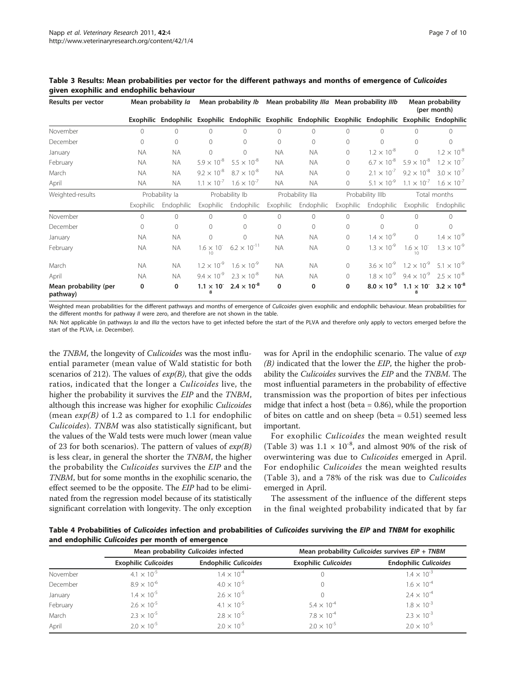| Results per vector                |           | Mean probability la |                      |                                              |            | Mean probability Ib Mean probability IIIa Mean probability IIIb                                          |                  |                      |                                                                | Mean probability<br>(per month)                                                |
|-----------------------------------|-----------|---------------------|----------------------|----------------------------------------------|------------|----------------------------------------------------------------------------------------------------------|------------------|----------------------|----------------------------------------------------------------|--------------------------------------------------------------------------------|
|                                   |           |                     |                      |                                              |            | Exophilic Endophilic Exophilic Endophilic Exophilic Endophilic Exophilic Endophilic Exophilic Endophilic |                  |                      |                                                                |                                                                                |
| November                          | $\Omega$  | 0                   |                      | $\cap$                                       | $\bigcap$  | $\bigcap$                                                                                                | 0                |                      |                                                                |                                                                                |
| December                          | $\bigcap$ | $\Omega$            | $\Omega$             | $\Omega$                                     | $\bigcap$  | $\bigcap$                                                                                                | $\Omega$         | $\bigcap$            |                                                                |                                                                                |
| January                           | <b>NA</b> | <b>NA</b>           | $\Omega$             | $\Omega$                                     | <b>NA</b>  | <b>NA</b>                                                                                                | $\Omega$         | $1.2 \times 10^{-8}$ | $\Omega$                                                       | $1.2 \times 10^{-8}$                                                           |
| February                          | <b>NA</b> | NA.                 | $5.9 \times 10^{-8}$ | $5.5 \times 10^{-8}$                         | NA.        | <b>NA</b>                                                                                                | $\Omega$         |                      | $6.7 \times 10^{-8}$ $5.9 \times 10^{-8}$ $1.2 \times 10^{-7}$ |                                                                                |
| March                             | <b>NA</b> | NA.                 |                      | $9.2 \times 10^{-8}$ $8.7 \times 10^{-8}$    | NA.        | <b>NA</b>                                                                                                | $\Omega$         | $2.1 \times 10^{-7}$ | $9.2 \times 10^{-8}$                                           | $3.0 \times 10^{-7}$                                                           |
| April                             | NA.       | NA.                 |                      | $1.1 \times 10^{-7}$ $1.6 \times 10^{-7}$    | NA.        | <b>NA</b>                                                                                                | 0                | $5.1 \times 10^{-9}$ | $1.1 \times 10^{-7}$ $1.6 \times 10^{-7}$                      |                                                                                |
| Weighted-results                  |           | Probability la      |                      | Probability Ib                               |            | Probability IIIa                                                                                         |                  | Probability IIIb     |                                                                | Total months                                                                   |
|                                   | Exophilic | Endophilic          | Exophilic            | Endophilic                                   | Exophilic  | Endophilic                                                                                               | <b>Exophilic</b> | Endophilic           | Exophilic                                                      | Endophilic                                                                     |
| November                          | $\Omega$  | $\Omega$            | 0                    | $\Omega$                                     | $\bigcirc$ | $\Omega$                                                                                                 | $\Omega$         | $\bigcap$            | $\bigcap$                                                      | $\bigcap$                                                                      |
| December                          | $\Omega$  | $\Omega$            | $\Omega$             | $\Omega$                                     | $\bigcirc$ | $\Omega$                                                                                                 | $\Omega$         | $\Omega$             | $\bigcap$                                                      | $\Omega$                                                                       |
| January                           | NA.       | NA.                 | 0                    | 0                                            | <b>NA</b>  | <b>NA</b>                                                                                                | $\Omega$         | $1.4 \times 10^{-9}$ | 0                                                              | $1.4 \times 10^{-9}$                                                           |
| February                          | NA.       | NA.                 |                      | $1.6 \times 10^{-6}$ . $6.2 \times 10^{-11}$ | NA.        | <b>NA</b>                                                                                                | $\Omega$         |                      | $1.3 \times 10^{-9}$ $1.6 \times 10^{-7}$                      | $1.3 \times 10^{-9}$                                                           |
| March                             | <b>NA</b> | NA.                 |                      | $1.2 \times 10^{-9}$ $1.6 \times 10^{-9}$    | NA.        | <b>NA</b>                                                                                                | $\Omega$         |                      | $3.6 \times 10^{-9}$ $1.2 \times 10^{-9}$ $5.1 \times 10^{-9}$ |                                                                                |
| April                             | <b>NA</b> | <b>NA</b>           |                      | $9.4 \times 10^{-9}$ $2.3 \times 10^{-8}$    | <b>NA</b>  | NA.                                                                                                      | $\Omega$         |                      | $1.8 \times 10^{-9}$ $9.4 \times 10^{-9}$ $2.5 \times 10^{-8}$ |                                                                                |
| Mean probability (per<br>pathway) | 0         | 0                   |                      | $1.1 \times 10^{-2}$ . $2.4 \times 10^{-8}$  | 0          | 0                                                                                                        | 0                |                      |                                                                | $8.0 \times 10^{-9}$ 1.1 $\times$ 10 <sup>3</sup> 3.2 $\times$ 10 <sup>3</sup> |

<span id="page-6-0"></span>Table 3 Results: Mean probabilities per vector for the different pathways and months of emergence of Culicoides given exophilic and endophilic behaviour

Weighted mean probabilities for the different pathways and months of emergence of Culicoides given exophilic and endophilic behaviour. Mean probabilities for the different months for pathway II were zero, and therefore are not shown in the table.

NA: Not applicable (in pathways Ia and IIIa the vectors have to get infected before the start of the PLVA and therefore only apply to vectors emerged before the start of the PLVA, i.e. December).

the TNBM, the longevity of Culicoides was the most influential parameter (mean value of Wald statistic for both scenarios of 212). The values of  $exp(B)$ , that give the odds ratios, indicated that the longer a Culicoides live, the higher the probability it survives the EIP and the TNBM, although this increase was higher for exophilic Culicoides (mean  $exp(B)$  of 1.2 as compared to 1.1 for endophilic Culicoides). TNBM was also statistically significant, but the values of the Wald tests were much lower (mean value of 23 for both scenarios). The pattern of values of  $exp(B)$ is less clear, in general the shorter the TNBM, the higher the probability the Culicoides survives the EIP and the TNBM, but for some months in the exophilic scenario, the effect seemed to be the opposite. The EIP had to be eliminated from the regression model because of its statistically significant correlation with longevity. The only exception was for April in the endophilic scenario. The value of  $exp$  $(B)$  indicated that the lower the *EIP*, the higher the probability the Culicoides survives the EIP and the TNBM. The most influential parameters in the probability of effective transmission was the proportion of bites per infectious midge that infect a host (beta  $= 0.86$ ), while the proportion of bites on cattle and on sheep (beta = 0.51) seemed less important.

For exophilic Culicoides the mean weighted result (Table 3) was  $1.1 \times 10^{-8}$ , and almost 90% of the risk of overwintering was due to Culicoides emerged in April. For endophilic *Culicoides* the mean weighted results (Table 3), and a 78% of the risk was due to Culicoides emerged in April.

The assessment of the influence of the different steps in the final weighted probability indicated that by far

Table 4 Probabilities of Culicoides infection and probabilities of Culicoides surviving the EIP and TNBM for exophilic and endophilic Culicoides per month of emergence

|          |                             | Mean probability Culicoides infected | Mean probability Culicoides survives $EIP + TNBM$ |                              |  |
|----------|-----------------------------|--------------------------------------|---------------------------------------------------|------------------------------|--|
|          | <b>Exophilic Culicoides</b> | <b>Endophilic Culicoides</b>         | <b>Exophilic Culicoides</b>                       | <b>Endophilic Culicoides</b> |  |
| November | $4.1 \times 10^{-5}$        | $1.4 \times 10^{-4}$                 |                                                   | $1.4 \times 10^{-3}$         |  |
| December | $8.9 \times 10^{-6}$        | $4.0 \times 10^{-5}$                 |                                                   | $1.6 \times 10^{-4}$         |  |
| January  | $1.4 \times 10^{-5}$        | $2.6 \times 10^{-5}$                 |                                                   | $2.4 \times 10^{-4}$         |  |
| February | $2.6 \times 10^{-5}$        | $4.1 \times 10^{-5}$                 | $5.4 \times 10^{-4}$                              | $1.8 \times 10^{-3}$         |  |
| March    | $2.3 \times 10^{-5}$        | $2.8 \times 10^{-5}$                 | $7.8 \times 10^{-4}$                              | $2.3 \times 10^{-3}$         |  |
| April    | $2.0 \times 10^{-5}$        | $2.0 \times 10^{-5}$                 | $2.0 \times 10^{-5}$                              | $2.0 \times 10^{-5}$         |  |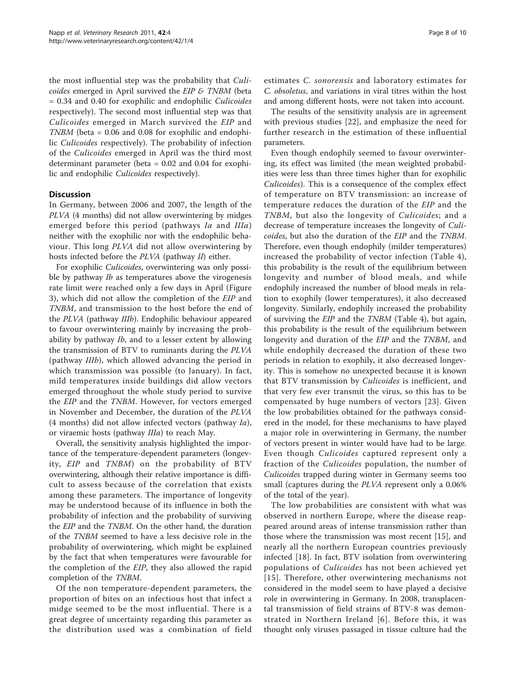the most influential step was the probability that Culicoides emerged in April survived the EIP & TNBM (beta = 0.34 and 0.40 for exophilic and endophilic Culicoides respectively). The second most influential step was that Culicoides emerged in March survived the EIP and TNBM (beta = 0.06 and 0.08 for exophilic and endophilic Culicoides respectively). The probability of infection of the Culicoides emerged in April was the third most determinant parameter (beta  $= 0.02$  and 0.04 for exophilic and endophilic Culicoides respectively).

#### **Discussion**

In Germany, between 2006 and 2007, the length of the PLVA (4 months) did not allow overwintering by midges emerged before this period (pathways *Ia* and *IIIa*) neither with the exophilic nor with the endophilic behaviour. This long PLVA did not allow overwintering by hosts infected before the PLVA (pathway II) either.

For exophilic Culicoides, overwintering was only possible by pathway  $Ib$  as temperatures above the virogenesis rate limit were reached only a few days in April (Figure [3\)](#page-5-0), which did not allow the completion of the EIP and TNBM, and transmission to the host before the end of the PLVA (pathway IIIb). Endophilic behaviour appeared to favour overwintering mainly by increasing the probability by pathway Ib, and to a lesser extent by allowing the transmission of BTV to ruminants during the PLVA (pathway IIIb), which allowed advancing the period in which transmission was possible (to January). In fact, mild temperatures inside buildings did allow vectors emerged throughout the whole study period to survive the EIP and the TNBM. However, for vectors emerged in November and December, the duration of the PLVA (4 months) did not allow infected vectors (pathway Ia), or viraemic hosts (pathway IIIa) to reach May.

Overall, the sensitivity analysis highlighted the importance of the temperature-dependent parameters (longevity, EIP and TNBM) on the probability of BTV overwintering, although their relative importance is difficult to assess because of the correlation that exists among these parameters. The importance of longevity may be understood because of its influence in both the probability of infection and the probability of surviving the EIP and the TNBM. On the other hand, the duration of the TNBM seemed to have a less decisive role in the probability of overwintering, which might be explained by the fact that when temperatures were favourable for the completion of the EIP, they also allowed the rapid completion of the TNBM.

Of the non temperature-dependent parameters, the proportion of bites on an infectious host that infect a midge seemed to be the most influential. There is a great degree of uncertainty regarding this parameter as the distribution used was a combination of field

estimates C. sonorensis and laboratory estimates for C. obsoletus, and variations in viral titres within the host and among different hosts, were not taken into account.

The results of the sensitivity analysis are in agreement with previous studies [\[22\]](#page-9-0), and emphasize the need for further research in the estimation of these influential parameters.

Even though endophily seemed to favour overwintering, its effect was limited (the mean weighted probabilities were less than three times higher than for exophilic Culicoides). This is a consequence of the complex effect of temperature on BTV transmission: an increase of temperature reduces the duration of the EIP and the TNBM, but also the longevity of Culicoides; and a decrease of temperature increases the longevity of Culicoides, but also the duration of the EIP and the TNBM. Therefore, even though endophily (milder temperatures) increased the probability of vector infection (Table [4](#page-6-0)), this probability is the result of the equilibrium between longevity and number of blood meals, and while endophily increased the number of blood meals in relation to exophily (lower temperatures), it also decreased longevity. Similarly, endophily increased the probability of surviving the EIP and the TNBM (Table [4\)](#page-6-0), but again, this probability is the result of the equilibrium between longevity and duration of the EIP and the TNBM, and while endophily decreased the duration of these two periods in relation to exophily, it also decreased longevity. This is somehow no unexpected because it is known that BTV transmission by *Culicoides* is inefficient, and that very few ever transmit the virus, so this has to be compensated by huge numbers of vectors [[23\]](#page-9-0). Given the low probabilities obtained for the pathways considered in the model, for these mechanisms to have played a major role in overwintering in Germany, the number of vectors present in winter would have had to be large. Even though Culicoides captured represent only a fraction of the Culicoides population, the number of Culicoides trapped during winter in Germany seems too small (captures during the PLVA represent only a 0.06% of the total of the year).

The low probabilities are consistent with what was observed in northern Europe, where the disease reappeared around areas of intense transmission rather than those where the transmission was most recent [[15\]](#page-9-0), and nearly all the northern European countries previously infected [\[18](#page-9-0)]. In fact, BTV isolation from overwintering populations of Culicoides has not been achieved yet [[15\]](#page-9-0). Therefore, other overwintering mechanisms not considered in the model seem to have played a decisive role in overwintering in Germany. In 2008, transplacental transmission of field strains of BTV-8 was demonstrated in Northern Ireland [[6\]](#page-9-0). Before this, it was thought only viruses passaged in tissue culture had the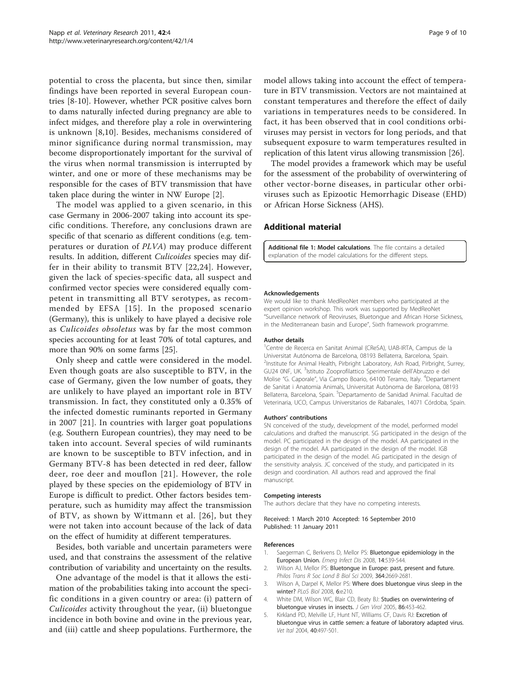<span id="page-8-0"></span>potential to cross the placenta, but since then, similar findings have been reported in several European countries [[8-10](#page-9-0)]. However, whether PCR positive calves born to dams naturally infected during pregnancy are able to infect midges, and therefore play a role in overwintering is unknown [\[8](#page-9-0),[10](#page-9-0)]. Besides, mechanisms considered of minor significance during normal transmission, may become disproportionately important for the survival of the virus when normal transmission is interrupted by winter, and one or more of these mechanisms may be responsible for the cases of BTV transmission that have taken place during the winter in NW Europe [2].

The model was applied to a given scenario, in this case Germany in 2006-2007 taking into account its specific conditions. Therefore, any conclusions drawn are specific of that scenario as different conditions (e.g. temperatures or duration of PLVA) may produce different results. In addition, different Culicoides species may differ in their ability to transmit BTV [[22,24\]](#page-9-0). However, given the lack of species-specific data, all suspect and confirmed vector species were considered equally competent in transmitting all BTV serotypes, as recommended by EFSA [[15\]](#page-9-0). In the proposed scenario (Germany), this is unlikely to have played a decisive role as Culicoides obsoletus was by far the most common species accounting for at least 70% of total captures, and more than 90% on some farms [[25\]](#page-9-0).

Only sheep and cattle were considered in the model. Even though goats are also susceptible to BTV, in the case of Germany, given the low number of goats, they are unlikely to have played an important role in BTV transmission. In fact, they constituted only a 0.35% of the infected domestic ruminants reported in Germany in 2007 [\[21\]](#page-9-0). In countries with larger goat populations (e.g. Southern European countries), they may need to be taken into account. Several species of wild ruminants are known to be susceptible to BTV infection, and in Germany BTV-8 has been detected in red deer, fallow deer, roe deer and mouflon [[21\]](#page-9-0). However, the role played by these species on the epidemiology of BTV in Europe is difficult to predict. Other factors besides temperature, such as humidity may affect the transmission of BTV, as shown by Wittmann et al. [[26\]](#page-9-0), but they were not taken into account because of the lack of data on the effect of humidity at different temperatures.

Besides, both variable and uncertain parameters were used, and that constrains the assessment of the relative contribution of variability and uncertainty on the results.

One advantage of the model is that it allows the estimation of the probabilities taking into account the specific conditions in a given country or area: (i) pattern of Culicoides activity throughout the year, (ii) bluetongue incidence in both bovine and ovine in the previous year, and (iii) cattle and sheep populations. Furthermore, the

model allows taking into account the effect of temperature in BTV transmission. Vectors are not maintained at constant temperatures and therefore the effect of daily variations in temperatures needs to be considered. In fact, it has been observed that in cool conditions orbiviruses may persist in vectors for long periods, and that subsequent exposure to warm temperatures resulted in replication of this latent virus allowing transmission [\[26\]](#page-9-0).

The model provides a framework which may be useful for the assessment of the probability of overwintering of other vector-borne diseases, in particular other orbiviruses such as Epizootic Hemorrhagic Disease (EHD) or African Horse Sickness (AHS).

#### Additional material

[Additional file 1: M](http://www.biomedcentral.com/content/supplementary/1297-9716-42-4-S1.DOC)odel calculations. The file contains a detailed explanation of the model calculations for the different steps.

#### Acknowledgements

We would like to thank MedReoNet members who participated at the expert opinion workshop. This work was supported by MedReoNet "Surveillance network of Reoviruses, Bluetongue and African Horse Sickness, in the Mediterranean basin and Europe", Sixth framework programme.

#### Author details

<sup>1</sup>Centre de Recerca en Sanitat Animal (CReSA), UAB-IRTA, Campus de la Universitat Autónoma de Barcelona, 08193 Bellaterra, Barcelona, Spain. <sup>2</sup>Institute for Animal Health, Pirbright Laboratory, Ash Road, Pirbright, Surrey GU24 0NF, UK.<sup>3</sup>Istituto Zooprofilattico Sperimentale dell'Abruzzo e del Molise "G. Caporale", Via Campo Boario, 64100 Teramo, Italy. <sup>4</sup>Departament de Sanitat i Anatomia Animals, Universitat Autònoma de Barcelona, 08193 Bellaterra, Barcelona, Spain. <sup>5</sup>Departamento de Sanidad Animal. Facultad de Veterinaria, UCO, Campus Universitarios de Rabanales, 14071 Córdoba, Spain.

#### Authors' contributions

SN conceived of the study, development of the model, performed model calculations and drafted the manuscript. SG participated in the design of the model. PC participated in the design of the model. AA participated in the design of the model. AA participated in the design of the model. IGB participated in the design of the model. AG participated in the design of the sensitivity analysis. JC conceived of the study, and participated in its design and coordination. All authors read and approved the final manuscript.

#### Competing interests

The authors declare that they have no competing interests.

Received: 1 March 2010 Accepted: 16 September 2010 Published: 11 January 2011

#### References

- 1. Saegerman C, Berkvens D, Mellor PS: [Bluetongue epidemiology in the](http://www.ncbi.nlm.nih.gov/pubmed/18394269?dopt=Abstract) [European Union.](http://www.ncbi.nlm.nih.gov/pubmed/18394269?dopt=Abstract) Emerg Infect Dis 2008, 14:539-544.
- 2. Wilson AJ, Mellor PS: [Bluetongue in Europe: past, present and future.](http://www.ncbi.nlm.nih.gov/pubmed/19687037?dopt=Abstract) Philos Trans R Soc Lond B Biol Sci 2009, 364:2669-2681.
- 3. Wilson A, Darpel K, Mellor PS: [Where does bluetongue virus sleep in the](http://www.ncbi.nlm.nih.gov/pubmed/18752350?dopt=Abstract) [winter?](http://www.ncbi.nlm.nih.gov/pubmed/18752350?dopt=Abstract) PLoS Biol 2008, 6:e210.
- 4. White DM, Wilson WC, Blair CD, Beaty BJ: [Studies on overwintering of](http://www.ncbi.nlm.nih.gov/pubmed/15659765?dopt=Abstract) [bluetongue viruses in insects.](http://www.ncbi.nlm.nih.gov/pubmed/15659765?dopt=Abstract) J Gen Virol 2005, 86:453-462.
- 5. Kirkland PD, Melville LF, Hunt NT, Williams CF, Davis RJ: [Excretion of](http://www.ncbi.nlm.nih.gov/pubmed/20422576?dopt=Abstract) [bluetongue virus in cattle semen: a feature of laboratory adapted virus.](http://www.ncbi.nlm.nih.gov/pubmed/20422576?dopt=Abstract) Vet Ital 2004, 40:497-501.